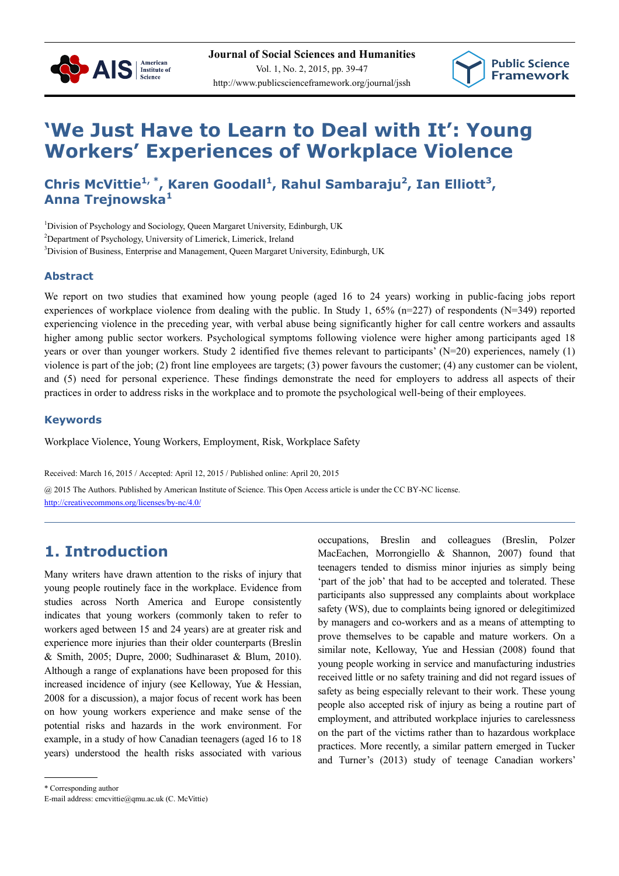



# **'We Just Have to Learn to Deal with It': Young Workers' Experiences of Workplace Violence**

**Chris McVittie1, \*, Karen Goodall<sup>1</sup> , Rahul Sambaraju<sup>2</sup> , Ian Elliott<sup>3</sup> , Anna Trejnowska<sup>1</sup>**

<sup>1</sup>Division of Psychology and Sociology, Queen Margaret University, Edinburgh, UK

<sup>2</sup>Department of Psychology, University of Limerick, Limerick, Ireland

<sup>3</sup>Division of Business, Enterprise and Management, Queen Margaret University, Edinburgh, UK

### **Abstract**

We report on two studies that examined how young people (aged 16 to 24 years) working in public-facing jobs report experiences of workplace violence from dealing with the public. In Study 1, 65% (n=227) of respondents (N=349) reported experiencing violence in the preceding year, with verbal abuse being significantly higher for call centre workers and assaults higher among public sector workers. Psychological symptoms following violence were higher among participants aged 18 years or over than younger workers. Study 2 identified five themes relevant to participants'  $(N=20)$  experiences, namely  $(1)$ violence is part of the job; (2) front line employees are targets; (3) power favours the customer; (4) any customer can be violent, and (5) need for personal experience. These findings demonstrate the need for employers to address all aspects of their practices in order to address risks in the workplace and to promote the psychological well-being of their employees.

### **Keywords**

Workplace Violence, Young Workers, Employment, Risk, Workplace Safety

Received: March 16, 2015 / Accepted: April 12, 2015 / Published online: April 20, 2015

@ 2015 The Authors. Published by American Institute of Science. This Open Access article is under the CC BY-NC license. http://creativecommons.org/licenses/by-nc/4.0/

# **1. Introduction**

Many writers have drawn attention to the risks of injury that young people routinely face in the workplace. Evidence from studies across North America and Europe consistently indicates that young workers (commonly taken to refer to workers aged between 15 and 24 years) are at greater risk and experience more injuries than their older counterparts (Breslin & Smith, 2005; Dupre, 2000; Sudhinaraset & Blum, 2010). Although a range of explanations have been proposed for this increased incidence of injury (see Kelloway, Yue & Hessian, 2008 for a discussion), a major focus of recent work has been on how young workers experience and make sense of the potential risks and hazards in the work environment. For example, in a study of how Canadian teenagers (aged 16 to 18 years) understood the health risks associated with various occupations, Breslin and colleagues (Breslin, Polzer MacEachen, Morrongiello & Shannon, 2007) found that teenagers tended to dismiss minor injuries as simply being 'part of the job' that had to be accepted and tolerated. These participants also suppressed any complaints about workplace safety (WS), due to complaints being ignored or delegitimized by managers and co-workers and as a means of attempting to prove themselves to be capable and mature workers. On a similar note, Kelloway, Yue and Hessian (2008) found that young people working in service and manufacturing industries received little or no safety training and did not regard issues of safety as being especially relevant to their work. These young people also accepted risk of injury as being a routine part of employment, and attributed workplace injuries to carelessness on the part of the victims rather than to hazardous workplace practices. More recently, a similar pattern emerged in Tucker and Turner's (2013) study of teenage Canadian workers'

\* Corresponding author

E-mail address: cmcvittie@qmu.ac.uk (C. McVittie)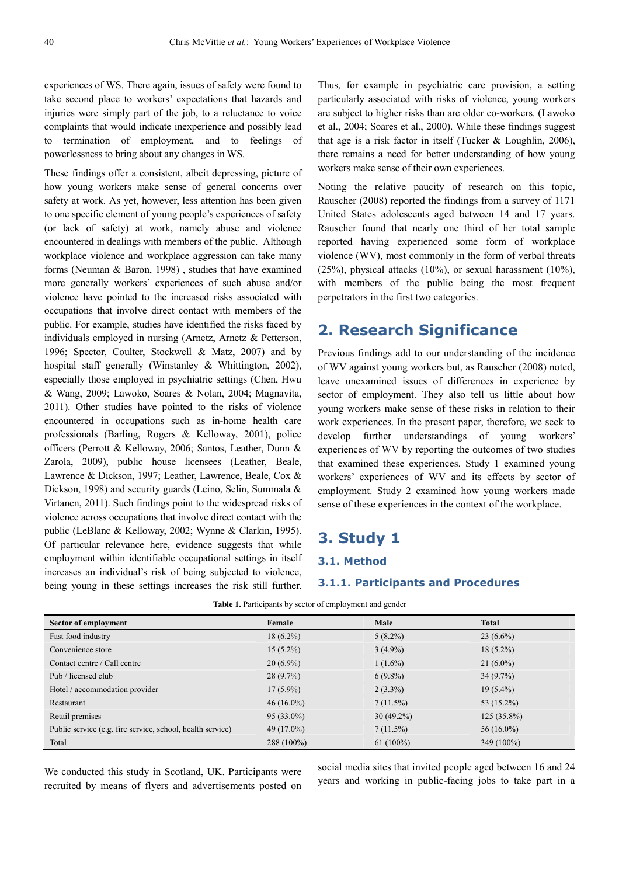experiences of WS. There again, issues of safety were found to take second place to workers' expectations that hazards and injuries were simply part of the job, to a reluctance to voice complaints that would indicate inexperience and possibly lead to termination of employment, and to feelings of powerlessness to bring about any changes in WS.

These findings offer a consistent, albeit depressing, picture of how young workers make sense of general concerns over safety at work. As yet, however, less attention has been given to one specific element of young people's experiences of safety (or lack of safety) at work, namely abuse and violence encountered in dealings with members of the public. Although workplace violence and workplace aggression can take many forms (Neuman & Baron, 1998) , studies that have examined more generally workers' experiences of such abuse and/or violence have pointed to the increased risks associated with occupations that involve direct contact with members of the public. For example, studies have identified the risks faced by individuals employed in nursing (Arnetz, Arnetz & Petterson, 1996; Spector, Coulter, Stockwell & Matz, 2007) and by hospital staff generally (Winstanley & Whittington, 2002), especially those employed in psychiatric settings (Chen, Hwu & Wang, 2009; Lawoko, Soares & Nolan, 2004; Magnavita, 2011). Other studies have pointed to the risks of violence encountered in occupations such as in-home health care professionals (Barling, Rogers & Kelloway, 2001), police officers (Perrott & Kelloway, 2006; Santos, Leather, Dunn & Zarola, 2009), public house licensees (Leather, Beale, Lawrence & Dickson, 1997; Leather, Lawrence, Beale, Cox & Dickson, 1998) and security guards (Leino, Selin, Summala & Virtanen, 2011). Such findings point to the widespread risks of violence across occupations that involve direct contact with the public (LeBlanc & Kelloway, 2002; Wynne & Clarkin, 1995). Of particular relevance here, evidence suggests that while employment within identifiable occupational settings in itself increases an individual's risk of being subjected to violence, being young in these settings increases the risk still further.

Thus, for example in psychiatric care provision, a setting particularly associated with risks of violence, young workers are subject to higher risks than are older co-workers. (Lawoko et al., 2004; Soares et al., 2000). While these findings suggest that age is a risk factor in itself (Tucker & Loughlin, 2006), there remains a need for better understanding of how young workers make sense of their own experiences.

Noting the relative paucity of research on this topic, Rauscher (2008) reported the findings from a survey of 1171 United States adolescents aged between 14 and 17 years. Rauscher found that nearly one third of her total sample reported having experienced some form of workplace violence (WV), most commonly in the form of verbal threats  $(25\%)$ , physical attacks  $(10\%)$ , or sexual harassment  $(10\%)$ , with members of the public being the most frequent perpetrators in the first two categories.

# **2. Research Significance**

Previous findings add to our understanding of the incidence of WV against young workers but, as Rauscher (2008) noted, leave unexamined issues of differences in experience by sector of employment. They also tell us little about how young workers make sense of these risks in relation to their work experiences. In the present paper, therefore, we seek to develop further understandings of young workers' experiences of WV by reporting the outcomes of two studies that examined these experiences. Study 1 examined young workers' experiences of WV and its effects by sector of employment. Study 2 examined how young workers made sense of these experiences in the context of the workplace.

## **3. Study 1**

#### **3.1. Method**

#### **3.1.1. Participants and Procedures**

| Sector of employment                                       | Female       | Male         | <b>Total</b>  |
|------------------------------------------------------------|--------------|--------------|---------------|
| Fast food industry                                         | $18(6.2\%)$  | $5(8.2\%)$   | $23(6.6\%)$   |
| Convenience store                                          | $15(5.2\%)$  | $3(4.9\%)$   | $18(5.2\%)$   |
| Contact centre / Call centre                               | $20(6.9\%)$  | $1(1.6\%)$   | $21(6.0\%)$   |
| Pub / licensed club                                        | $28(9.7\%)$  | $6(9.8\%)$   | $34(9.7\%)$   |
| Hotel / accommodation provider                             | $17(5.9\%)$  | $2(3.3\%)$   | $19(5.4\%)$   |
| Restaurant                                                 | $46(16.0\%)$ | $7(11.5\%)$  | 53 (15.2%)    |
| Retail premises                                            | $95(33.0\%)$ | $30(49.2\%)$ | $125(35.8\%)$ |
| Public service (e.g. fire service, school, health service) | 49 (17.0%)   | $7(11.5\%)$  | $56(16.0\%)$  |
| Total                                                      | 288 (100%)   | $61(100\%)$  | 349 (100%)    |

| Table 1. Participants by sector of employment and gender |  |  |  |  |  |  |  |
|----------------------------------------------------------|--|--|--|--|--|--|--|
|----------------------------------------------------------|--|--|--|--|--|--|--|

We conducted this study in Scotland, UK. Participants were recruited by means of flyers and advertisements posted on social media sites that invited people aged between 16 and 24 years and working in public-facing jobs to take part in a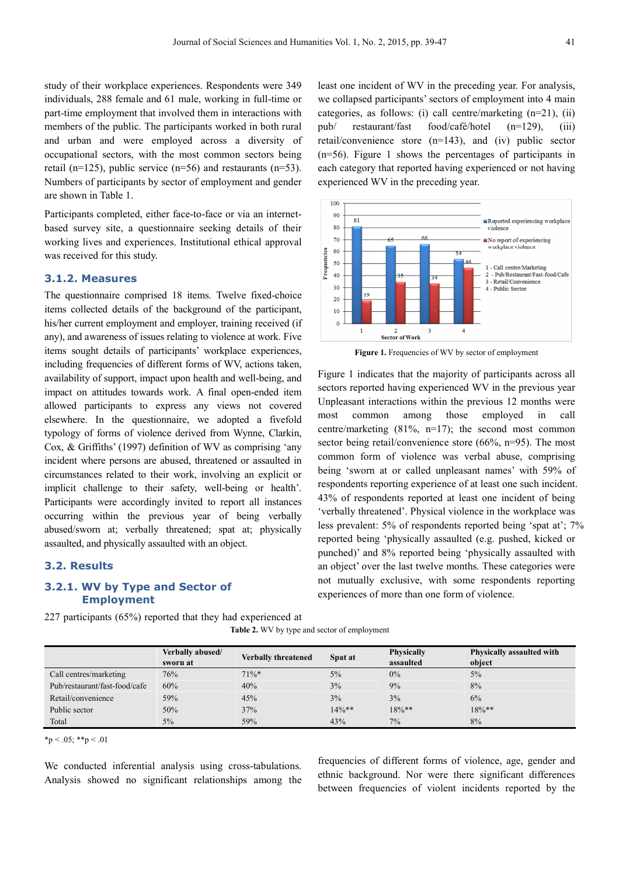study of their workplace experiences. Respondents were 349 individuals, 288 female and 61 male, working in full-time or part-time employment that involved them in interactions with members of the public. The participants worked in both rural and urban and were employed across a diversity of occupational sectors, with the most common sectors being retail (n=125), public service (n=56) and restaurants (n=53). Numbers of participants by sector of employment and gender are shown in Table 1.

Participants completed, either face-to-face or via an internetbased survey site, a questionnaire seeking details of their working lives and experiences. Institutional ethical approval was received for this study.

#### **3.1.2. Measures**

The questionnaire comprised 18 items. Twelve fixed-choice items collected details of the background of the participant, his/her current employment and employer, training received (if any), and awareness of issues relating to violence at work. Five items sought details of participants' workplace experiences, including frequencies of different forms of WV, actions taken, availability of support, impact upon health and well-being, and impact on attitudes towards work. A final open-ended item allowed participants to express any views not covered elsewhere. In the questionnaire, we adopted a fivefold typology of forms of violence derived from Wynne, Clarkin, Cox, & Griffiths' (1997) definition of WV as comprising 'any incident where persons are abused, threatened or assaulted in circumstances related to their work, involving an explicit or implicit challenge to their safety, well-being or health'. Participants were accordingly invited to report all instances occurring within the previous year of being verbally abused/sworn at; verbally threatened; spat at; physically assaulted, and physically assaulted with an object.

#### **3.2. Results**

### **3.2.1. WV by Type and Sector of Employment**

227 participants (65%) reported that they had experienced at

**Table 2.** WV by type and sector of employment

|                               | Verbally abused/ | <b>Verbally threatened</b> | Spat at  | <b>Physically</b> | Physically assaulted with |
|-------------------------------|------------------|----------------------------|----------|-------------------|---------------------------|
|                               | sworn at         |                            |          | assaulted         | object                    |
| Call centres/marketing        | 76%              | $71\%*$                    | 5%       | 0%                | $5\%$                     |
| Pub/restaurant/fast-food/cafe | 60%              | 40%                        | 3%       | 9%                | 8%                        |
| Retail/convenience            | 59%              | 45%                        | 3%       | 3%                | 6%                        |
| Public sector                 | 50%              | 37%                        | $14\%**$ | $18\%**$          | $18\%**$                  |
| Total                         | $5\%$            | 59%                        | 43%      | $7\%$             | 8%                        |

 $*<sub>p</sub> < .05; **<sub>p</sub> < .01$ 

We conducted inferential analysis using cross-tabulations. Analysis showed no significant relationships among the frequencies of different forms of violence, age, gender and ethnic background. Nor were there significant differences between frequencies of violent incidents reported by the

we collapsed participants' sectors of employment into 4 main categories, as follows: (i) call centre/marketing (n=21), (ii) pub/ restaurant/fast food/café/hotel (n=129), (iii) retail/convenience store (n=143), and (iv) public sector (n=56). Figure 1 shows the percentages of participants in each category that reported having experienced or not having experienced WV in the preceding year.

least one incident of WV in the preceding year. For analysis,



**Figure 1.** Frequencies of WV by sector of employment

Figure 1 indicates that the majority of participants across all sectors reported having experienced WV in the previous year Unpleasant interactions within the previous 12 months were most common among those employed in call centre/marketing (81%, n=17); the second most common sector being retail/convenience store (66%, n=95). The most common form of violence was verbal abuse, comprising being 'sworn at or called unpleasant names' with 59% of respondents reporting experience of at least one such incident. 43% of respondents reported at least one incident of being 'verbally threatened'. Physical violence in the workplace was less prevalent: 5% of respondents reported being 'spat at'; 7% reported being 'physically assaulted (e.g. pushed, kicked or punched)' and 8% reported being 'physically assaulted with an object' over the last twelve months. These categories were not mutually exclusive, with some respondents reporting experiences of more than one form of violence.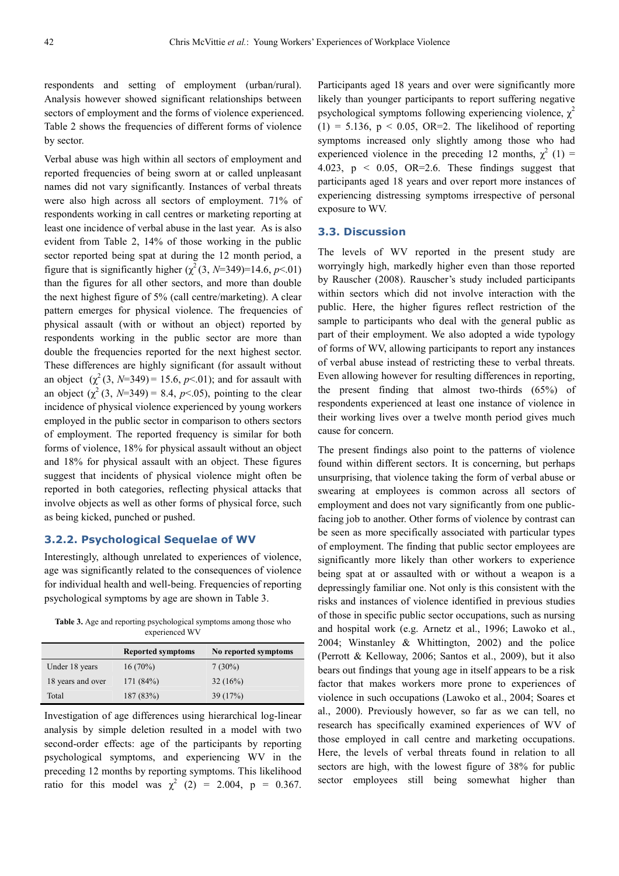respondents and setting of employment (urban/rural). Analysis however showed significant relationships between sectors of employment and the forms of violence experienced. Table 2 shows the frequencies of different forms of violence by sector.

Verbal abuse was high within all sectors of employment and reported frequencies of being sworn at or called unpleasant names did not vary significantly. Instances of verbal threats were also high across all sectors of employment. 71% of respondents working in call centres or marketing reporting at least one incidence of verbal abuse in the last year. As is also evident from Table 2, 14% of those working in the public sector reported being spat at during the 12 month period, a figure that is significantly higher  $(\chi^2(3, N=349)=14.6, p<.01)$ than the figures for all other sectors, and more than double the next highest figure of 5% (call centre/marketing). A clear pattern emerges for physical violence. The frequencies of physical assault (with or without an object) reported by respondents working in the public sector are more than double the frequencies reported for the next highest sector. These differences are highly significant (for assault without an object  $(\chi^2(3, N=349) = 15.6, p<.01)$ ; and for assault with an object  $(\chi^2(3, N=349) = 8.4, p<0.65)$ , pointing to the clear incidence of physical violence experienced by young workers employed in the public sector in comparison to others sectors of employment. The reported frequency is similar for both forms of violence, 18% for physical assault without an object and 18% for physical assault with an object. These figures suggest that incidents of physical violence might often be reported in both categories, reflecting physical attacks that involve objects as well as other forms of physical force, such as being kicked, punched or pushed.

#### **3.2.2. Psychological Sequelae of WV**

Interestingly, although unrelated to experiences of violence, age was significantly related to the consequences of violence for individual health and well-being. Frequencies of reporting psychological symptoms by age are shown in Table 3.

**Table 3.** Age and reporting psychological symptoms among those who experienced WV

|                   | <b>Reported symptoms</b> | No reported symptoms |
|-------------------|--------------------------|----------------------|
| Under 18 years    | $16(70\%)$               | $7(30\%)$            |
| 18 years and over | 171(84%)                 | 32(16%)              |
| Total             | 187 (83%)                | 39(17%)              |

Investigation of age differences using hierarchical log-linear analysis by simple deletion resulted in a model with two second-order effects: age of the participants by reporting psychological symptoms, and experiencing WV in the preceding 12 months by reporting symptoms. This likelihood ratio for this model was  $\chi^2$  (2) = 2.004, p = 0.367. Participants aged 18 years and over were significantly more likely than younger participants to report suffering negative psychological symptoms following experiencing violence,  $\chi^2$  $(1) = 5.136$ ,  $p < 0.05$ , OR=2. The likelihood of reporting symptoms increased only slightly among those who had experienced violence in the preceding 12 months,  $\chi^2$  (1) = 4.023,  $p \le 0.05$ , OR=2.6. These findings suggest that participants aged 18 years and over report more instances of experiencing distressing symptoms irrespective of personal exposure to WV.

#### **3.3. Discussion**

The levels of WV reported in the present study are worryingly high, markedly higher even than those reported by Rauscher (2008). Rauscher's study included participants within sectors which did not involve interaction with the public. Here, the higher figures reflect restriction of the sample to participants who deal with the general public as part of their employment. We also adopted a wide typology of forms of WV, allowing participants to report any instances of verbal abuse instead of restricting these to verbal threats. Even allowing however for resulting differences in reporting, the present finding that almost two-thirds (65%) of respondents experienced at least one instance of violence in their working lives over a twelve month period gives much cause for concern.

The present findings also point to the patterns of violence found within different sectors. It is concerning, but perhaps unsurprising, that violence taking the form of verbal abuse or swearing at employees is common across all sectors of employment and does not vary significantly from one publicfacing job to another. Other forms of violence by contrast can be seen as more specifically associated with particular types of employment. The finding that public sector employees are significantly more likely than other workers to experience being spat at or assaulted with or without a weapon is a depressingly familiar one. Not only is this consistent with the risks and instances of violence identified in previous studies of those in specific public sector occupations, such as nursing and hospital work (e.g. Arnetz et al., 1996; Lawoko et al., 2004; Winstanley & Whittington, 2002) and the police (Perrott & Kelloway, 2006; Santos et al., 2009), but it also bears out findings that young age in itself appears to be a risk factor that makes workers more prone to experiences of violence in such occupations (Lawoko et al., 2004; Soares et al., 2000). Previously however, so far as we can tell, no research has specifically examined experiences of WV of those employed in call centre and marketing occupations. Here, the levels of verbal threats found in relation to all sectors are high, with the lowest figure of 38% for public sector employees still being somewhat higher than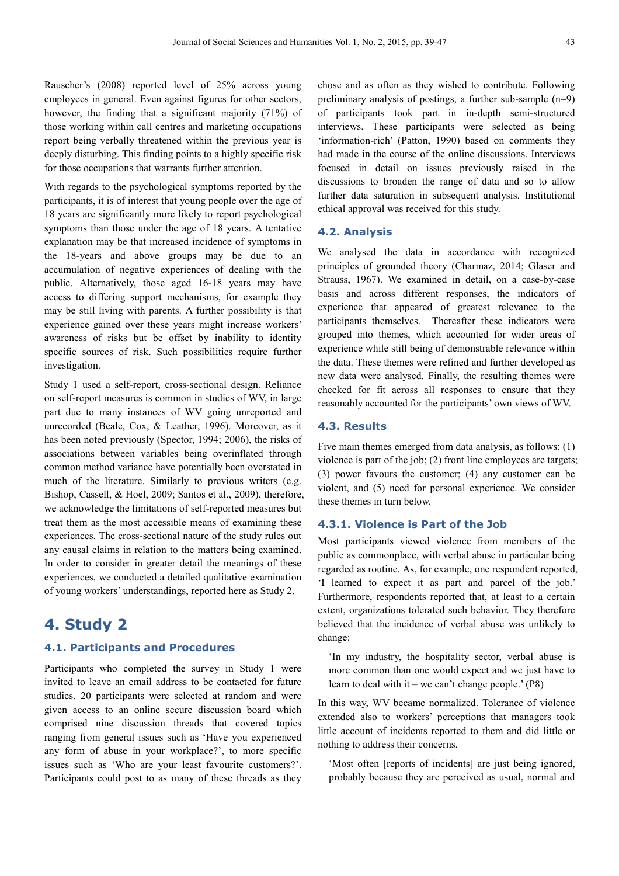Rauscher's (2008) reported level of 25% across young employees in general. Even against figures for other sectors, however, the finding that a significant majority (71%) of those working within call centres and marketing occupations report being verbally threatened within the previous year is deeply disturbing. This finding points to a highly specific risk for those occupations that warrants further attention.

With regards to the psychological symptoms reported by the participants, it is of interest that young people over the age of 18 years are significantly more likely to report psychological symptoms than those under the age of 18 years. A tentative explanation may be that increased incidence of symptoms in the 18-years and above groups may be due to an accumulation of negative experiences of dealing with the public. Alternatively, those aged 16-18 years may have access to differing support mechanisms, for example they may be still living with parents. A further possibility is that experience gained over these years might increase workers' awareness of risks but be offset by inability to identity specific sources of risk. Such possibilities require further investigation.

Study 1 used a self-report, cross-sectional design. Reliance on self-report measures is common in studies of WV, in large part due to many instances of WV going unreported and unrecorded (Beale, Cox, & Leather, 1996). Moreover, as it has been noted previously (Spector, 1994; 2006), the risks of associations between variables being overinflated through common method variance have potentially been overstated in much of the literature. Similarly to previous writers (e.g. Bishop, Cassell, & Hoel, 2009; Santos et al., 2009), therefore, we acknowledge the limitations of self-reported measures but treat them as the most accessible means of examining these experiences. The cross-sectional nature of the study rules out any causal claims in relation to the matters being examined. In order to consider in greater detail the meanings of these experiences, we conducted a detailed qualitative examination of young workers' understandings, reported here as Study 2.

# **4. Study 2**

#### **4.1. Participants and Procedures**

Participants who completed the survey in Study 1 were invited to leave an email address to be contacted for future studies. 20 participants were selected at random and were given access to an online secure discussion board which comprised nine discussion threads that covered topics ranging from general issues such as 'Have you experienced any form of abuse in your workplace?', to more specific issues such as 'Who are your least favourite customers?'. Participants could post to as many of these threads as they chose and as often as they wished to contribute. Following preliminary analysis of postings, a further sub-sample (n=9) of participants took part in in-depth semi-structured interviews. These participants were selected as being 'information-rich' (Patton, 1990) based on comments they had made in the course of the online discussions. Interviews focused in detail on issues previously raised in the discussions to broaden the range of data and so to allow further data saturation in subsequent analysis. Institutional ethical approval was received for this study.

#### **4.2. Analysis**

We analysed the data in accordance with recognized principles of grounded theory (Charmaz, 2014; Glaser and Strauss, 1967). We examined in detail, on a case-by-case basis and across different responses, the indicators of experience that appeared of greatest relevance to the participants themselves. Thereafter these indicators were grouped into themes, which accounted for wider areas of experience while still being of demonstrable relevance within the data. These themes were refined and further developed as new data were analysed. Finally, the resulting themes were checked for fit across all responses to ensure that they reasonably accounted for the participants' own views of WV.

### **4.3. Results**

Five main themes emerged from data analysis, as follows: (1) violence is part of the job; (2) front line employees are targets; (3) power favours the customer; (4) any customer can be violent, and (5) need for personal experience. We consider these themes in turn below.

### **4.3.1. Violence is Part of the Job**

Most participants viewed violence from members of the public as commonplace, with verbal abuse in particular being regarded as routine. As, for example, one respondent reported, 'I learned to expect it as part and parcel of the job.' Furthermore, respondents reported that, at least to a certain extent, organizations tolerated such behavior. They therefore believed that the incidence of verbal abuse was unlikely to change:

'In my industry, the hospitality sector, verbal abuse is more common than one would expect and we just have to learn to deal with it – we can't change people.'  $(P8)$ 

In this way, WV became normalized. Tolerance of violence extended also to workers' perceptions that managers took little account of incidents reported to them and did little or nothing to address their concerns.

'Most often [reports of incidents] are just being ignored, probably because they are perceived as usual, normal and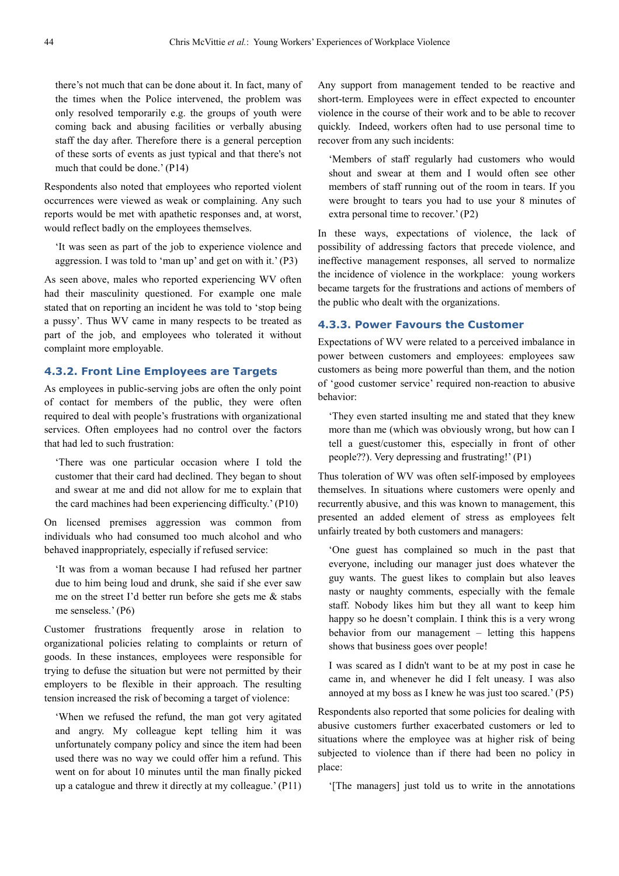there's not much that can be done about it. In fact, many of the times when the Police intervened, the problem was only resolved temporarily e.g. the groups of youth were coming back and abusing facilities or verbally abusing staff the day after. Therefore there is a general perception of these sorts of events as just typical and that there's not much that could be done.' (P14)

Respondents also noted that employees who reported violent occurrences were viewed as weak or complaining. Any such reports would be met with apathetic responses and, at worst, would reflect badly on the employees themselves.

'It was seen as part of the job to experience violence and aggression. I was told to 'man up' and get on with it.' (P3)

As seen above, males who reported experiencing WV often had their masculinity questioned. For example one male stated that on reporting an incident he was told to 'stop being a pussy'. Thus WV came in many respects to be treated as part of the job, and employees who tolerated it without complaint more employable.

### **4.3.2. Front Line Employees are Targets**

As employees in public-serving jobs are often the only point of contact for members of the public, they were often required to deal with people's frustrations with organizational services. Often employees had no control over the factors that had led to such frustration:

'There was one particular occasion where I told the customer that their card had declined. They began to shout and swear at me and did not allow for me to explain that the card machines had been experiencing difficulty.' (P10)

On licensed premises aggression was common from individuals who had consumed too much alcohol and who behaved inappropriately, especially if refused service:

'It was from a woman because I had refused her partner due to him being loud and drunk, she said if she ever saw me on the street I'd better run before she gets me & stabs me senseless.' (P6)

Customer frustrations frequently arose in relation to organizational policies relating to complaints or return of goods. In these instances, employees were responsible for trying to defuse the situation but were not permitted by their employers to be flexible in their approach. The resulting tension increased the risk of becoming a target of violence:

'When we refused the refund, the man got very agitated and angry. My colleague kept telling him it was unfortunately company policy and since the item had been used there was no way we could offer him a refund. This went on for about 10 minutes until the man finally picked up a catalogue and threw it directly at my colleague.' (P11) Any support from management tended to be reactive and short-term. Employees were in effect expected to encounter violence in the course of their work and to be able to recover quickly. Indeed, workers often had to use personal time to recover from any such incidents:

'Members of staff regularly had customers who would shout and swear at them and I would often see other members of staff running out of the room in tears. If you were brought to tears you had to use your 8 minutes of extra personal time to recover.' (P2)

In these ways, expectations of violence, the lack of possibility of addressing factors that precede violence, and ineffective management responses, all served to normalize the incidence of violence in the workplace: young workers became targets for the frustrations and actions of members of the public who dealt with the organizations.

### **4.3.3. Power Favours the Customer**

Expectations of WV were related to a perceived imbalance in power between customers and employees: employees saw customers as being more powerful than them, and the notion of 'good customer service' required non-reaction to abusive behavior:

'They even started insulting me and stated that they knew more than me (which was obviously wrong, but how can I tell a guest/customer this, especially in front of other people??). Very depressing and frustrating!' (P1)

Thus toleration of WV was often self-imposed by employees themselves. In situations where customers were openly and recurrently abusive, and this was known to management, this presented an added element of stress as employees felt unfairly treated by both customers and managers:

'One guest has complained so much in the past that everyone, including our manager just does whatever the guy wants. The guest likes to complain but also leaves nasty or naughty comments, especially with the female staff. Nobody likes him but they all want to keep him happy so he doesn't complain. I think this is a very wrong behavior from our management – letting this happens shows that business goes over people!

I was scared as I didn't want to be at my post in case he came in, and whenever he did I felt uneasy. I was also annoyed at my boss as I knew he was just too scared.' (P5)

Respondents also reported that some policies for dealing with abusive customers further exacerbated customers or led to situations where the employee was at higher risk of being subjected to violence than if there had been no policy in place:

'[The managers] just told us to write in the annotations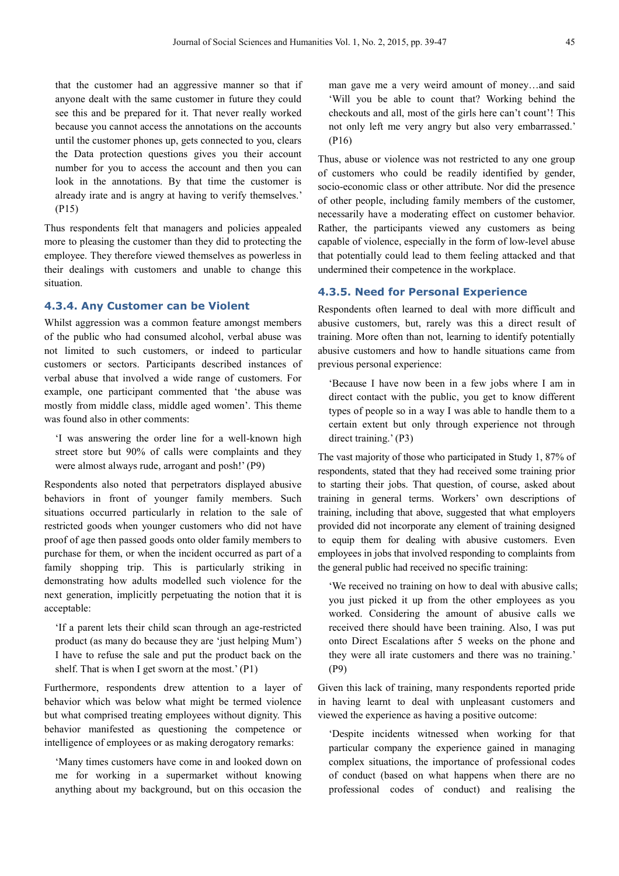that the customer had an aggressive manner so that if anyone dealt with the same customer in future they could see this and be prepared for it. That never really worked because you cannot access the annotations on the accounts until the customer phones up, gets connected to you, clears the Data protection questions gives you their account number for you to access the account and then you can look in the annotations. By that time the customer is already irate and is angry at having to verify themselves.' (P15)

Thus respondents felt that managers and policies appealed more to pleasing the customer than they did to protecting the employee. They therefore viewed themselves as powerless in their dealings with customers and unable to change this situation.

#### **4.3.4. Any Customer can be Violent**

Whilst aggression was a common feature amongst members of the public who had consumed alcohol, verbal abuse was not limited to such customers, or indeed to particular customers or sectors. Participants described instances of verbal abuse that involved a wide range of customers. For example, one participant commented that 'the abuse was mostly from middle class, middle aged women'. This theme was found also in other comments:

'I was answering the order line for a well-known high street store but 90% of calls were complaints and they were almost always rude, arrogant and posh!' (P9)

Respondents also noted that perpetrators displayed abusive behaviors in front of younger family members. Such situations occurred particularly in relation to the sale of restricted goods when younger customers who did not have proof of age then passed goods onto older family members to purchase for them, or when the incident occurred as part of a family shopping trip. This is particularly striking in demonstrating how adults modelled such violence for the next generation, implicitly perpetuating the notion that it is acceptable:

'If a parent lets their child scan through an age-restricted product (as many do because they are 'just helping Mum') I have to refuse the sale and put the product back on the shelf. That is when I get sworn at the most.' (P1)

Furthermore, respondents drew attention to a layer of behavior which was below what might be termed violence but what comprised treating employees without dignity. This behavior manifested as questioning the competence or intelligence of employees or as making derogatory remarks:

'Many times customers have come in and looked down on me for working in a supermarket without knowing anything about my background, but on this occasion the man gave me a very weird amount of money…and said 'Will you be able to count that? Working behind the checkouts and all, most of the girls here can't count'! This not only left me very angry but also very embarrassed.' (P16)

Thus, abuse or violence was not restricted to any one group of customers who could be readily identified by gender, socio-economic class or other attribute. Nor did the presence of other people, including family members of the customer, necessarily have a moderating effect on customer behavior. Rather, the participants viewed any customers as being capable of violence, especially in the form of low-level abuse that potentially could lead to them feeling attacked and that undermined their competence in the workplace.

#### **4.3.5. Need for Personal Experience**

Respondents often learned to deal with more difficult and abusive customers, but, rarely was this a direct result of training. More often than not, learning to identify potentially abusive customers and how to handle situations came from previous personal experience:

'Because I have now been in a few jobs where I am in direct contact with the public, you get to know different types of people so in a way I was able to handle them to a certain extent but only through experience not through direct training.' (P3)

The vast majority of those who participated in Study 1, 87% of respondents, stated that they had received some training prior to starting their jobs. That question, of course, asked about training in general terms. Workers' own descriptions of training, including that above, suggested that what employers provided did not incorporate any element of training designed to equip them for dealing with abusive customers. Even employees in jobs that involved responding to complaints from the general public had received no specific training:

'We received no training on how to deal with abusive calls; you just picked it up from the other employees as you worked. Considering the amount of abusive calls we received there should have been training. Also, I was put onto Direct Escalations after 5 weeks on the phone and they were all irate customers and there was no training.' (P9)

Given this lack of training, many respondents reported pride in having learnt to deal with unpleasant customers and viewed the experience as having a positive outcome:

'Despite incidents witnessed when working for that particular company the experience gained in managing complex situations, the importance of professional codes of conduct (based on what happens when there are no professional codes of conduct) and realising the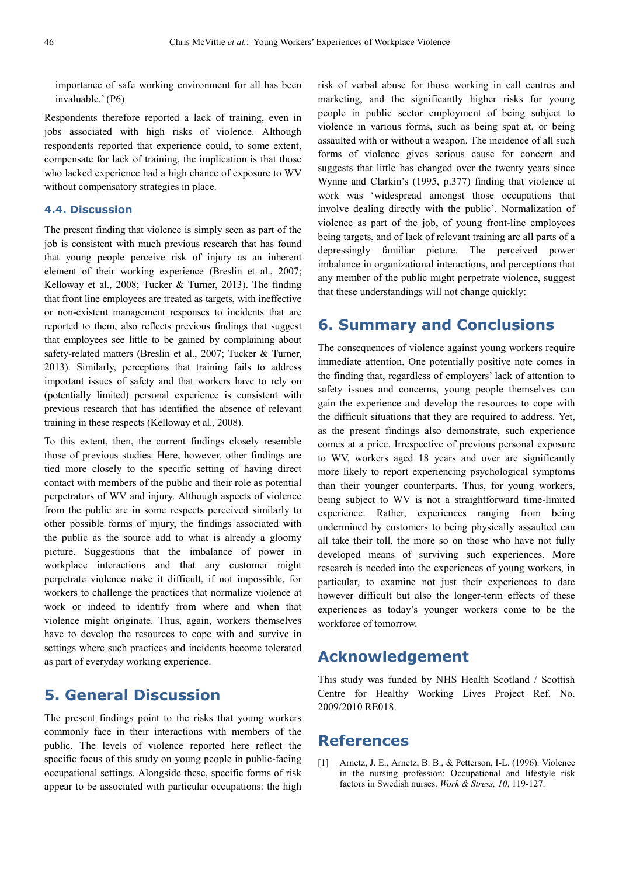importance of safe working environment for all has been invaluable.' (P6)

Respondents therefore reported a lack of training, even in jobs associated with high risks of violence. Although respondents reported that experience could, to some extent, compensate for lack of training, the implication is that those who lacked experience had a high chance of exposure to WV without compensatory strategies in place.

### **4.4. Discussion**

The present finding that violence is simply seen as part of the job is consistent with much previous research that has found that young people perceive risk of injury as an inherent element of their working experience (Breslin et al., 2007; Kelloway et al., 2008; Tucker & Turner, 2013). The finding that front line employees are treated as targets, with ineffective or non-existent management responses to incidents that are reported to them, also reflects previous findings that suggest that employees see little to be gained by complaining about safety-related matters (Breslin et al., 2007; Tucker & Turner, 2013). Similarly, perceptions that training fails to address important issues of safety and that workers have to rely on (potentially limited) personal experience is consistent with previous research that has identified the absence of relevant training in these respects (Kelloway et al., 2008).

To this extent, then, the current findings closely resemble those of previous studies. Here, however, other findings are tied more closely to the specific setting of having direct contact with members of the public and their role as potential perpetrators of WV and injury. Although aspects of violence from the public are in some respects perceived similarly to other possible forms of injury, the findings associated with the public as the source add to what is already a gloomy picture. Suggestions that the imbalance of power in workplace interactions and that any customer might perpetrate violence make it difficult, if not impossible, for workers to challenge the practices that normalize violence at work or indeed to identify from where and when that violence might originate. Thus, again, workers themselves have to develop the resources to cope with and survive in settings where such practices and incidents become tolerated as part of everyday working experience.

# **5. General Discussion**

The present findings point to the risks that young workers commonly face in their interactions with members of the public. The levels of violence reported here reflect the specific focus of this study on young people in public-facing occupational settings. Alongside these, specific forms of risk appear to be associated with particular occupations: the high risk of verbal abuse for those working in call centres and marketing, and the significantly higher risks for young people in public sector employment of being subject to violence in various forms, such as being spat at, or being assaulted with or without a weapon. The incidence of all such forms of violence gives serious cause for concern and suggests that little has changed over the twenty years since Wynne and Clarkin's (1995, p.377) finding that violence at work was 'widespread amongst those occupations that involve dealing directly with the public'. Normalization of violence as part of the job, of young front-line employees being targets, and of lack of relevant training are all parts of a depressingly familiar picture. The perceived power imbalance in organizational interactions, and perceptions that any member of the public might perpetrate violence, suggest that these understandings will not change quickly:

# **6. Summary and Conclusions**

The consequences of violence against young workers require immediate attention. One potentially positive note comes in the finding that, regardless of employers' lack of attention to safety issues and concerns, young people themselves can gain the experience and develop the resources to cope with the difficult situations that they are required to address. Yet, as the present findings also demonstrate, such experience comes at a price. Irrespective of previous personal exposure to WV, workers aged 18 years and over are significantly more likely to report experiencing psychological symptoms than their younger counterparts. Thus, for young workers, being subject to WV is not a straightforward time-limited experience. Rather, experiences ranging from being undermined by customers to being physically assaulted can all take their toll, the more so on those who have not fully developed means of surviving such experiences. More research is needed into the experiences of young workers, in particular, to examine not just their experiences to date however difficult but also the longer-term effects of these experiences as today's younger workers come to be the workforce of tomorrow.

# **Acknowledgement**

This study was funded by NHS Health Scotland / Scottish Centre for Healthy Working Lives Project Ref. No. 2009/2010 RE018.

# **References**

[1] Arnetz, J. E., Arnetz, B. B., & Petterson, I-L. (1996). Violence in the nursing profession: Occupational and lifestyle risk factors in Swedish nurses. *Work & Stress, 10*, 119-127.